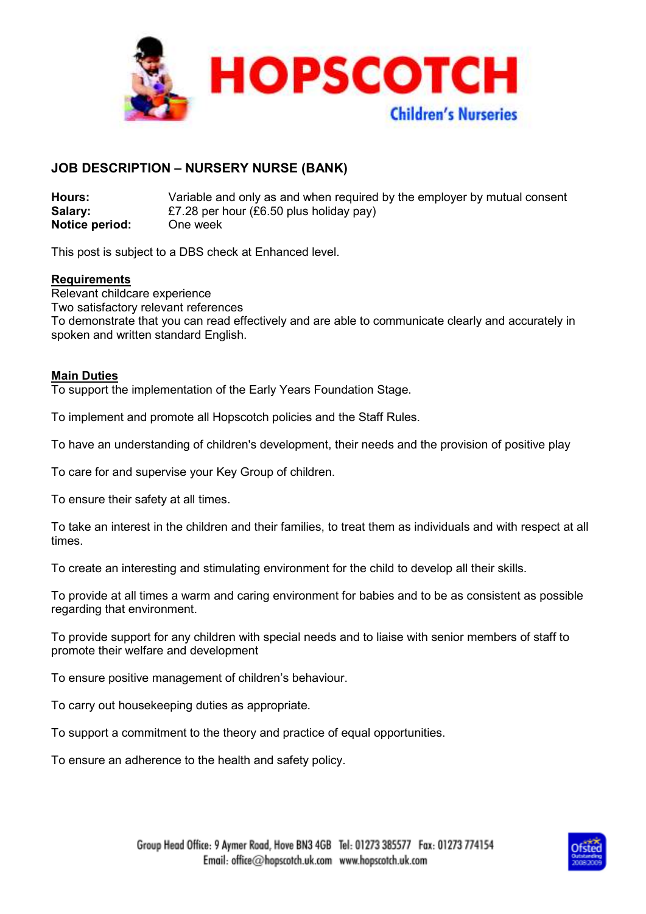

# **JOB DESCRIPTION – NURSERY NURSE (BANK)**

**Hours:** Variable and only as and when required by the employer by mutual consent **Salary:** £7.28 per hour (£6.50 plus holiday pay) **Notice period:** One week

This post is subject to a DBS check at Enhanced level.

## **Requirements**

Relevant childcare experience Two satisfactory relevant references To demonstrate that you can read effectively and are able to communicate clearly and accurately in spoken and written standard English.

## **Main Duties**

To support the implementation of the Early Years Foundation Stage.

To implement and promote all Hopscotch policies and the Staff Rules.

To have an understanding of children's development, their needs and the provision of positive play

To care for and supervise your Key Group of children.

To ensure their safety at all times.

To take an interest in the children and their families, to treat them as individuals and with respect at all times.

To create an interesting and stimulating environment for the child to develop all their skills.

To provide at all times a warm and caring environment for babies and to be as consistent as possible regarding that environment.

To provide support for any children with special needs and to liaise with senior members of staff to promote their welfare and development

To ensure positive management of children's behaviour.

To carry out housekeeping duties as appropriate.

To support a commitment to the theory and practice of equal opportunities.

To ensure an adherence to the health and safety policy.

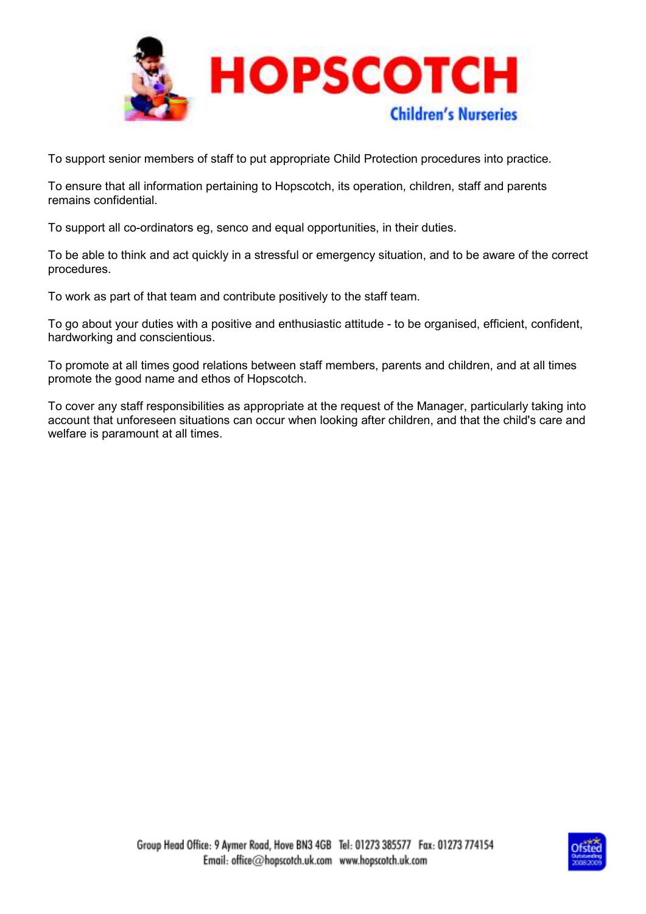

To support senior members of staff to put appropriate Child Protection procedures into practice.

To ensure that all information pertaining to Hopscotch, its operation, children, staff and parents remains confidential.

To support all co-ordinators eg, senco and equal opportunities, in their duties.

To be able to think and act quickly in a stressful or emergency situation, and to be aware of the correct procedures.

To work as part of that team and contribute positively to the staff team.

To go about your duties with a positive and enthusiastic attitude - to be organised, efficient, confident, hardworking and conscientious.

To promote at all times good relations between staff members, parents and children, and at all times promote the good name and ethos of Hopscotch.

To cover any staff responsibilities as appropriate at the request of the Manager, particularly taking into account that unforeseen situations can occur when looking after children, and that the child's care and welfare is paramount at all times.

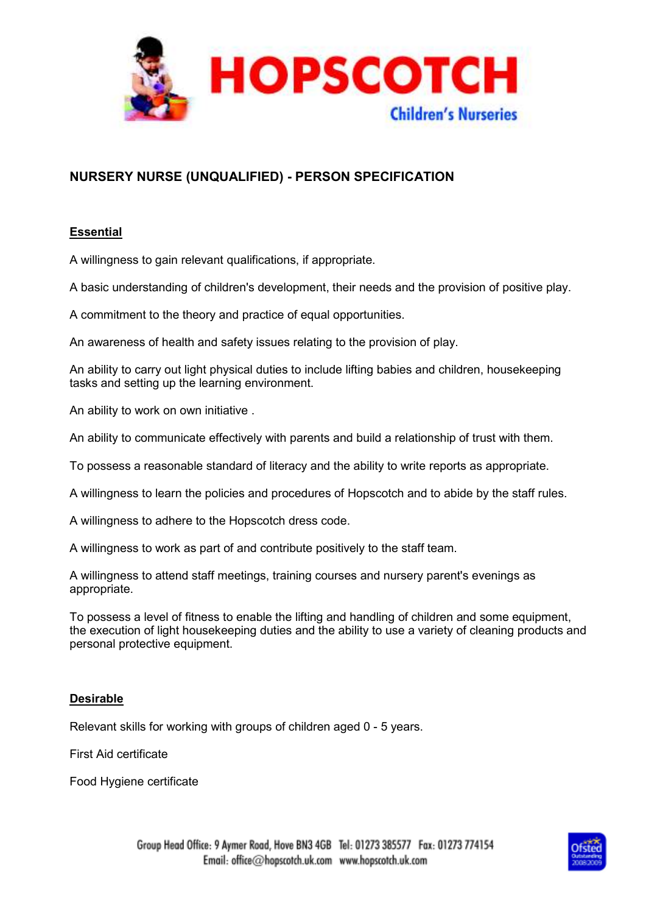

# **NURSERY NURSE (UNQUALIFIED) - PERSON SPECIFICATION**

## **Essential**

A willingness to gain relevant qualifications, if appropriate.

A basic understanding of children's development, their needs and the provision of positive play.

A commitment to the theory and practice of equal opportunities.

An awareness of health and safety issues relating to the provision of play.

An ability to carry out light physical duties to include lifting babies and children, housekeeping tasks and setting up the learning environment.

An ability to work on own initiative .

An ability to communicate effectively with parents and build a relationship of trust with them.

To possess a reasonable standard of literacy and the ability to write reports as appropriate.

A willingness to learn the policies and procedures of Hopscotch and to abide by the staff rules.

A willingness to adhere to the Hopscotch dress code.

A willingness to work as part of and contribute positively to the staff team.

A willingness to attend staff meetings, training courses and nursery parent's evenings as appropriate.

To possess a level of fitness to enable the lifting and handling of children and some equipment, the execution of light housekeeping duties and the ability to use a variety of cleaning products and personal protective equipment.

## **Desirable**

Relevant skills for working with groups of children aged 0 - 5 years.

First Aid certificate

Food Hygiene certificate